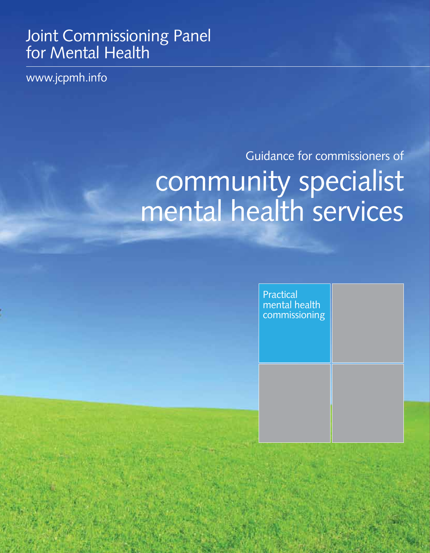# Joint Commissioning Panel for Mental Health

www.jcpmh.info

# Guidance for commissioners of community specialist mental health services

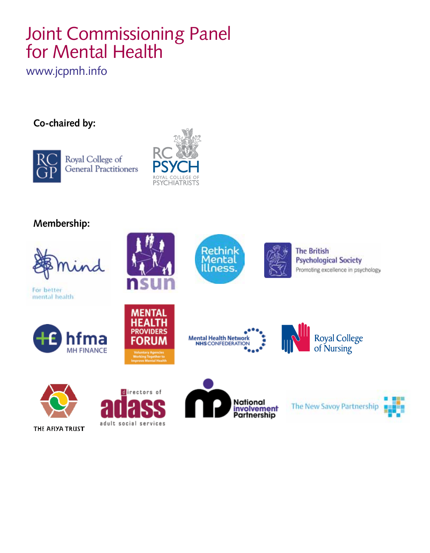# Joint Commissioning Panel for Mental Health

www.jcpmh.info

### **Co-chaired by:**



Royal College of General Practitioners



### **Membership:**



For better mental health







Mental Health Network<br>NHS CONFEDERATION



**The British Psychological Society** Promoting excellence in psychology



The New Savoy Partnership



THE AFIYA TRUST



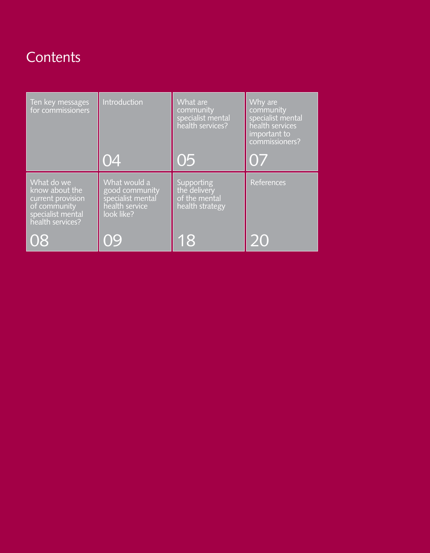# **Contents**

| Ten key messages<br>for commissioners                                                                      | Introduction                                                                        | What are<br>community<br>specialist mental<br>health services? | Why are<br>community<br>specialist mental<br>health services<br>important to<br>commissioners? |
|------------------------------------------------------------------------------------------------------------|-------------------------------------------------------------------------------------|----------------------------------------------------------------|------------------------------------------------------------------------------------------------|
|                                                                                                            | 04                                                                                  | 05                                                             | 07                                                                                             |
| What do we<br>know about the<br>current provision<br>of community<br>specialist mental<br>health services? | What would a<br>good community<br>specialist mental<br>health service<br>look like? | Supporting<br>the delivery<br>of the mental<br>health strategy | <b>References</b>                                                                              |
| 08                                                                                                         | Ο9                                                                                  | 18                                                             | 20                                                                                             |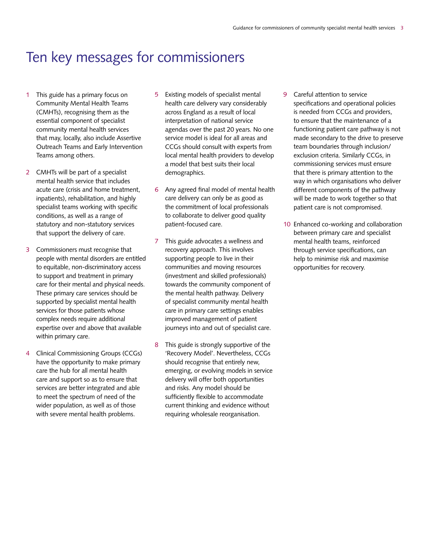### Ten key messages for commissioners

- 1 This guide has a primary focus on Community Mental Health Teams (CMHTs), recognising them as the essential component of specialist community mental health services that may, locally, also include Assertive Outreach Teams and Early Intervention Teams among others.
- 2 CMHTs will be part of a specialist mental health service that includes acute care (crisis and home treatment, inpatients), rehabilitation, and highly specialist teams working with specific conditions, as well as a range of statutory and non-statutory services that support the delivery of care.
- 3 Commissioners must recognise that people with mental disorders are entitled to equitable, non-discriminatory access to support and treatment in primary care for their mental and physical needs. These primary care services should be supported by specialist mental health services for those patients whose complex needs require additional expertise over and above that available within primary care.
- 4 Clinical Commissioning Groups (CCGs) have the opportunity to make primary care the hub for all mental health care and support so as to ensure that services are better integrated and able to meet the spectrum of need of the wider population, as well as of those with severe mental health problems.
- 5 Existing models of specialist mental health care delivery vary considerably across England as a result of local interpretation of national service agendas over the past 20 years. No one service model is ideal for all areas and CCGs should consult with experts from local mental health providers to develop a model that best suits their local demographics.
- 6 Any agreed final model of mental health care delivery can only be as good as the commitment of local professionals to collaborate to deliver good quality patient-focused care.
- 7 This guide advocates a wellness and recovery approach. This involves supporting people to live in their communities and moving resources (investment and skilled professionals) towards the community component of the mental health pathway. Delivery of specialist community mental health care in primary care settings enables improved management of patient journeys into and out of specialist care.
- 8 This guide is strongly supportive of the 'Recovery Model'. Nevertheless, CCGs should recognise that entirely new, emerging, or evolving models in service delivery will offer both opportunities and risks. Any model should be sufficiently flexible to accommodate current thinking and evidence without requiring wholesale reorganisation.
- 9 Careful attention to service specifications and operational policies is needed from CCGs and providers, to ensure that the maintenance of a functioning patient care pathway is not made secondary to the drive to preserve team boundaries through inclusion/ exclusion criteria. Similarly CCGs, in commissioning services must ensure that there is primary attention to the way in which organisations who deliver different components of the pathway will be made to work together so that patient care is not compromised.
- 10 Enhanced co-working and collaboration between primary care and specialist mental health teams, reinforced through service specifications, can help to minimise risk and maximise opportunities for recovery.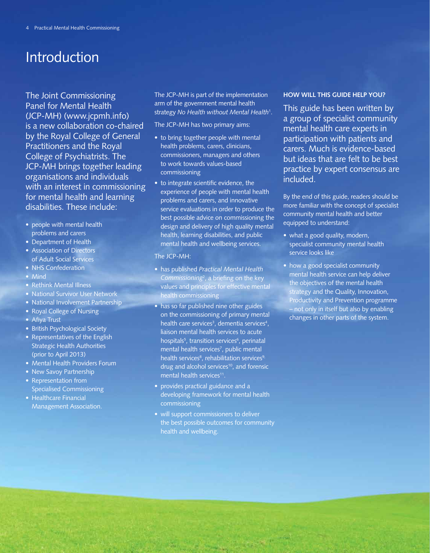### Introduction

The Joint Commissioning Panel for Mental Health (JCP-MH) (www.jcpmh.info) is a new collaboration co-chaired by the Royal College of General Practitioners and the Royal College of Psychiatrists. The JCP-MH brings together leading organisations and individuals with an interest in commissioning for mental health and learning disabilities. These include:

- people with mental health problems and carers
- Department of Health
- Association of Directors of Adult Social Services
- NHS Confederation
- Mind
- Rethink Mental Illness
- National Survivor User Network
- National Involvement Partnership
- Royal College of Nursing
- Afiya Trust
- British Psychological Society
- Representatives of the English Strategic Health Authorities (prior to April 2013)
- Mental Health Providers Forum
- New Savoy Partnership
- Representation from Specialised Commissioning
- Healthcare Financial Management Association.

The JCP-MH is part of the implementation arm of the government mental health strategy *No Health without Mental Health*<sup>1</sup> .

The JCP-MH has two primary aims:

- to bring together people with mental health problems, carers, clinicians, commissioners, managers and others to work towards values-based commissioning
- to integrate scientific evidence, the experience of people with mental health problems and carers, and innovative service evaluations in order to produce the best possible advice on commissioning the design and delivery of high quality mental health, learning disabilities, and public mental health and wellbeing services.

#### The JCP-MH:

- has published *Practical Mental Health Commissioning*<sup>2</sup> , a briefing on the key values and principles for effective mental health commissioning
- has so far published nine other guides on the commissioning of primary mental health care services<sup>3</sup>, dementia services<sup>4</sup>, liaison mental health services to acute hospitals<sup>5</sup>, transition services<sup>6</sup>, perinatal mental health services<sup>7</sup>, public mental health services<sup>8</sup>, rehabilitation services<sup>9,</sup> drug and alcohol services<sup>10</sup>, and forensic mental health services<sup>11</sup>.
- provides practical guidance and a developing framework for mental health commissioning
- will support commissioners to deliver the best possible outcomes for community health and wellbeing.

#### **how will this guide help you?**

This guide has been written by a group of specialist community mental health care experts in participation with patients and carers. Much is evidence-based but ideas that are felt to be best practice by expert consensus are included.

By the end of this guide, readers should be more familiar with the concept of specialist community mental health and better equipped to understand:

- what a good quality, modern, specialist community mental health service looks like
- how a good specialist community mental health service can help deliver the objectives of the mental health strategy and the Quality, Innovation, Productivity and Prevention programme – not only in itself but also by enabling changes in other parts of the system.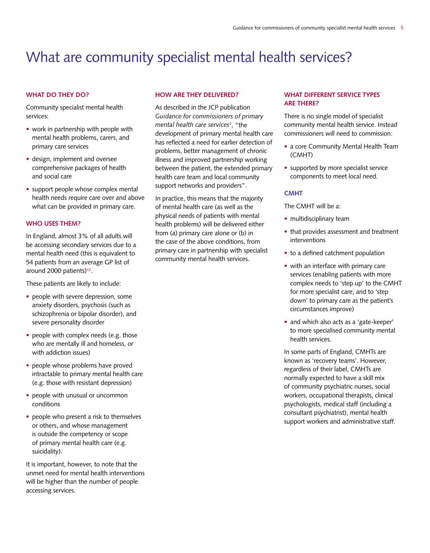# What are community specialist mental health services?

#### WHAT DO THEY DO?

Community specialist mental health services:

- work in partnership with people with mental health problems, carers, and primary care services
- design, implement and oversee comprehensive packages of health and social care
- support people whose complex mental health needs require care over and above what can be provided in primary care.

#### **WHO USES THEM?**

In England, almost 3% of all adults will be accessing secondary services due to a mental health need (this is equivalent to 54 patients from an average GP list of around 2000 patients)<sup>12</sup>.

These patients are likely to include:

- people with severe depression, some anxiety disorders, psychosis (such as schizophrenia or bipolar disorder), and severe personality disorder
- people with complex needs (e.g. those who are mentally ill and homeless, or with addiction issues)
- people whose problems have proved intractable to primary mental health care (e.g. those with resistant depression)
- people with unusual or uncommon conditions
- people who present a risk to themselves or others, and whose management is outside the competency or scope of primary mental health care (e.g. suicidality).

It is important, however, to note that the unmet need for mental health interventions will be higher than the number of people accessing services.

#### **HOW ARE THEY DELIVERED?**

As described in the JCP publication *Guidance for commissioners of primary mental health care services*<sup>3</sup> , "the development of primary mental health care has reflected a need for earlier detection of problems, better management of chronic illness and improved partnership working between the patient, the extended primary health care team and local community support networks and providers".

In practice, this means that the majority of mental health care (as well as the physical needs of patients with mental health problems) will be delivered either from (a) primary care alone or (b) in the case of the above conditions, from primary care in partnership with specialist community mental health services.

#### **WHAT DIFFERENT SERVICE TYPES ARE THERE?**

There is no single model of specialist community mental health service. Instead commissioners will need to commission:

- a core Community Mental Health Team (CMHT)
- supported by more specialist service components to meet local need.

#### **CMHT**

The CMHT will be a:

- multidisciplinary team
- that provides assessment and treatment interventions
- to a defined catchment population
- with an interface with primary care services (enabling patients with more complex needs to 'step up' to the CMHT for more specialist care, and to 'step down' to primary care as the patient's circumstances improve)
- and which also acts as a 'gate-keeper' to more specialised community mental health services.

In some parts of England, CMHTs are known as 'recovery teams'. However, regardless of their label, CMHTs are normally expected to have a skill mix of community psychiatric nurses, social workers, occupational therapists, clinical psychologists, medical staff (including a consultant psychiatrist), mental health support workers and administrative staff.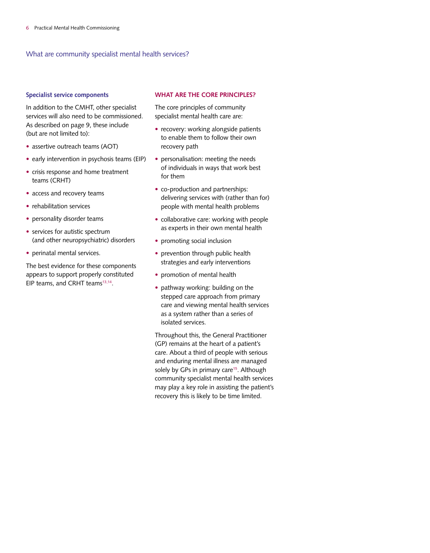What are community specialist mental health services?

#### **Specialist service components**

In addition to the CMHT, other specialist services will also need to be commissioned. As described on page 9, these include (but are not limited to):

- assertive outreach teams (AOT)
- early intervention in psychosis teams (EIP)
- crisis response and home treatment teams (CRHT)
- access and recovery teams
- rehabilitation services
- personality disorder teams
- services for autistic spectrum (and other neuropsychiatric) disorders
- perinatal mental services.

The best evidence for these components appears to support properly constituted EIP teams, and CRHT teams<sup>13,14</sup>.

#### **WHAT ARE THE CORE PRINCIPLES?**

The core principles of community specialist mental health care are:

- recovery: working alongside patients to enable them to follow their own recovery path
- personalisation: meeting the needs of individuals in ways that work best for them
- co-production and partnerships: delivering services with (rather than for) people with mental health problems
- collaborative care: working with people as experts in their own mental health
- promoting social inclusion
- prevention through public health strategies and early interventions
- promotion of mental health
- pathway working: building on the stepped care approach from primary care and viewing mental health services as a system rather than a series of isolated services.

Throughout this, the General Practitioner (GP) remains at the heart of a patient's care. About a third of people with serious and enduring mental illness are managed solely by GPs in primary care<sup>15</sup>. Although community specialist mental health services may play a key role in assisting the patient's recovery this is likely to be time limited.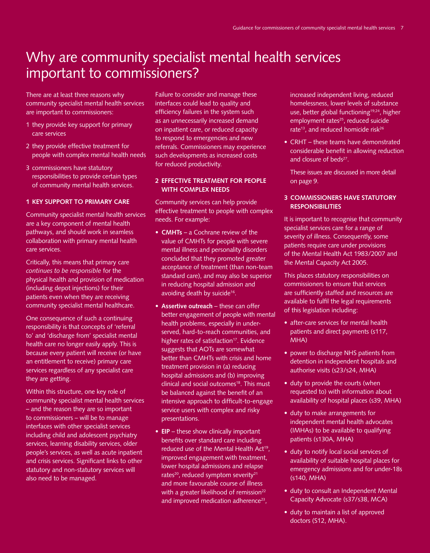# Why are community specialist mental health services important to commissioners?

There are at least three reasons why community specialist mental health services are important to commissioners:

- 1 they provide key support for primary care services
- 2 they provide effective treatment for people with complex mental health needs
- 3 commissioners have statutory responsibilities to provide certain types of community mental health services.

#### **1 KEY SUPPORT TO PRIMARY CARE**

Community specialist mental health services are a key component of mental health pathways, and should work in seamless collaboration with primary mental health care services.

Critically, this means that primary care *continues to be responsible* for the physical health and provision of medication (including depot injections) for their patients even when they are receiving community specialist mental healthcare.

One consequence of such a continuing responsibility is that concepts of 'referral to' and 'discharge from' specialist mental health care no longer easily apply. This is because every patient will receive (or have an entitlement to receive) primary care services regardless of any specialist care they are getting.

Within this structure, one key role of community specialist mental health services – and the reason they are so important to commissioners – will be to manage interfaces with other specialist services including child and adolescent psychiatry services, learning disability services, older people's services, as well as acute inpatient and crisis services. Significant links to other statutory and non-statutory services will also need to be managed.

Failure to consider and manage these interfaces could lead to quality and efficiency failures in the system such as an unnecessarily increased demand on inpatient care, or reduced capacity to respond to emergencies and new referrals. Commissioners may experience such developments as increased costs for reduced productivity.

#### **2 EFFECTIVE TREATMENT FOR PEOPLE WITH COMPLEX NEEDS**

Community services can help provide effective treatment to people with complex needs. For example:

- **CMHTs** a Cochrane review of the value of CMHTs for people with severe mental illness and personality disorders concluded that they promoted greater acceptance of treatment (than non-team standard care), and may also be superior in reducing hospital admission and avoiding death by suicide<sup>16</sup>.
- **Assertive outreach** these can offer better engagement of people with mental health problems, especially in underserved, hard-to-reach communities, and higher rates of satisfaction<sup>17</sup>. Evidence suggests that AOTs are somewhat better than CMHTs with crisis and home treatment provision in (a) reducing hospital admissions and (b) improving clinical and social outcomes<sup>18</sup>. This must be balanced against the benefit of an intensive approach to difficult-to-engage service users with complex and risky presentations.
- **EIP** these show clinically important benefits over standard care including reduced use of the Mental Health Act<sup>19</sup>, improved engagement with treatment, lower hospital admissions and relapse rates<sup>20</sup>, reduced symptom severity<sup>21</sup> and more favourable course of illness with a greater likelihood of remission<sup>22</sup> and improved medication adherence<sup>23</sup>,

increased independent living, reduced homelessness, lower levels of substance use, better global functioning<sup>19,24</sup>, higher employment rates<sup>25</sup>, reduced suicide rate<sup>13</sup>, and reduced homicide risk<sup>26</sup>

- CRHT these teams have demonstrated considerable benefit in allowing reduction and closure of beds<sup>27</sup>.
	- These issues are discussed in more detail on page 9.

#### **3 COMMISSIONERS HAVE STATUTORY RESPONSIBILITIES**

It is important to recognise that community specialist services care for a range of severity of illness. Consequently, some patients require care under provisions of the Mental Health Act 1983/2007 and the Mental Capacity Act 2005.

This places statutory responsibilities on commissioners to ensure that services are sufficiently staffed and resources are available to fulfil the legal requirements of this legislation including:

- after-care services for mental health patients and direct payments (s117, MHA)
- power to discharge NHS patients from detention in independent hospitals and authorise visits (s23/s24, MHA)
- duty to provide the courts (when requested to) with information about availability of hospital places (s39, MHA)
- duty to make arrangements for independent mental health advocates (IMHAs) to be available to qualifying patients (s130A, MHA)
- duty to notify local social services of availability of suitable hospital places for emergency admissions and for under-18s (s140, MHA)
- duty to consult an Independent Mental Capacity Advocate (s37/s38, MCA)
- duty to maintain a list of approved doctors (S12, MHA).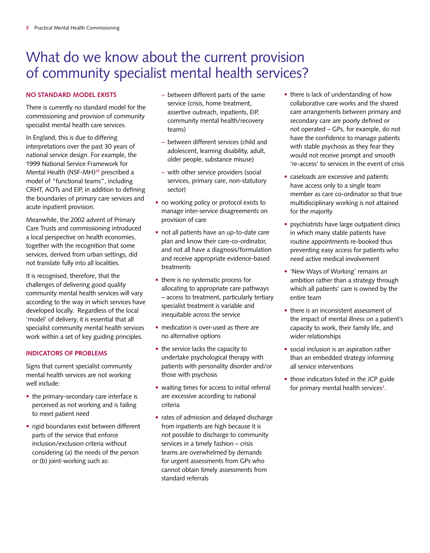# What do we know about the current provision of community specialist mental health services?

#### **NO STANDARD MODEL EXISTS**

There is currently no standard model for the commissioning and provision of community specialist mental health care services.

In England, this is due to differing interpretations over the past 30 years of national service design. For example, the 1999 National Service Framework for Mental Health (NSF-MH)<sup>28</sup> prescribed a model of "functional teams", including CRHT, AOTs and EIP, in addition to defining the boundaries of primary care services and acute inpatient provision.

Meanwhile, the 2002 advent of Primary Care Trusts and commissioning introduced a local perspective on health economies, together with the recognition that some services, derived from urban settings, did not translate fully into all localities.

It is recognised, therefore, that the challenges of delivering good quality community mental health services will vary according to the way in which services have developed locally. Regardless of the local 'model' of delivery, it is essential that all specialist community mental health services work within a set of key guiding principles.

#### **INDICATORS OF PROBLEMS**

Signs that current specialist community mental health services are not working well include:

- the primary-secondary care interface is perceived as not working and is failing to meet patient need
- rigid boundaries exist between different parts of the service that enforce inclusion/exclusion criteria without considering (a) the needs of the person or (b) joint-working such as:
- between different parts of the same service (crisis, home treatment, assertive outreach, inpatients, EIP, community mental health/recovery teams)
- between different services (child and adolescent, learning disability, adult, older people, substance misuse)
- with other service providers (social services, primary care, non-statutory sector)
- no working policy or protocol exists to manage inter-service disagreements on provision of care
- not all patients have an up-to-date care plan and know their care-co-ordinator, and not all have a diagnosis/formulation and receive appropriate evidence-based treatments
- there is no systematic process for allocating to appropriate care pathways – access to treatment, particularly tertiary specialist treatment is variable and inequitable across the service
- medication is over-used as there are no alternative options
- the service lacks the capacity to undertake psychological therapy with patients with personality disorder and/or those with psychosis
- waiting times for access to initial referral are excessive according to national criteria
- rates of admission and delayed discharge from inpatients are high because it is not possible to discharge to community services in a timely fashion – crisis teams are overwhelmed by demands for urgent assessments from GPs who cannot obtain timely assessments from standard referrals
- there is lack of understanding of how collaborative care works and the shared care arrangements between primary and secondary care are poorly defined or not operated – GPs, for example, do not have the confidence to manage patients with stable psychosis as they fear they would not receive prompt and smooth 're-access' to services in the event of crisis
- caseloads are excessive and patients have access only to a single team member as care co-ordinator so that true multidisciplinary working is not attained for the majority
- psychiatrists have large outpatient clinics in which many stable patients have routine appointments re-booked thus preventing easy access for patients who need active medical involvement
- 'New Ways of Working' remains an ambition rather than a strategy through which all patients' care is owned by the entire team
- there is an inconsistent assessment of the impact of mental illness on a patient's capacity to work, their family life, and wider relationships
- social inclusion is an aspiration rather than an embedded strategy informing all service interventions
- those indicators listed in the JCP guide for primary mental health services<sup>3</sup>.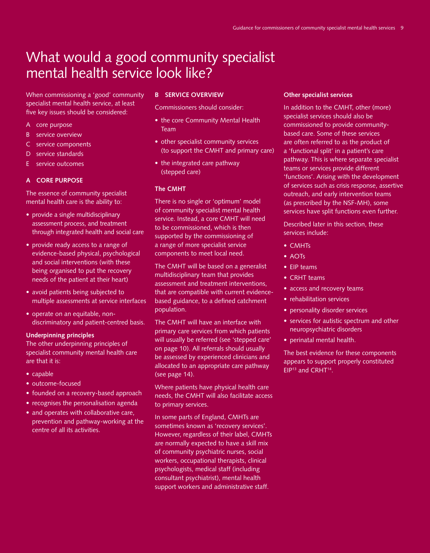When commissioning a 'good' community specialist mental health service, at least five key issues should be considered:

- A core purpose
- B service overview
- C service components
- D service standards
- E service outcomes

#### **A CORE PURPOSE**

The essence of community specialist mental health care is the ability to:

- provide a single multidisciplinary assessment process, and treatment through integrated health and social care
- provide ready access to a range of evidence-based physical, psychological and social interventions (with these being organised to put the recovery needs of the patient at their heart)
- avoid patients being subjected to multiple assessments at service interfaces
- operate on an equitable, nondiscriminatory and patient-centred basis.

#### **Underpinning principles**

The other underpinning principles of specialist community mental health care are that it is:

- capable
- outcome-focused
- founded on a recovery-based approach
- recognises the personalisation agenda
- and operates with collaborative care, prevention and pathway-working at the centre of all its activities.

#### **B SERVICE OVERVIEW**

Commissioners should consider:

- the core Community Mental Health Team
- other specialist community services (to support the CMHT and primary care)
- the integrated care pathway (stepped care)

#### **The CMHT**

There is no single or 'optimum' model of community specialist mental health service. Instead, a core CMHT will need to be commissioned, which is then supported by the commissioning of a range of more specialist service components to meet local need.

The CMHT will be based on a generalist multidisciplinary team that provides assessment and treatment interventions, that are compatible with current evidencebased guidance, to a defined catchment population.

The CMHT will have an interface with primary care services from which patients will usually be referred (see 'stepped care' on page 10). All referrals should usually be assessed by experienced clinicians and allocated to an appropriate care pathway (see page 14).

Where patients have physical health care needs, the CMHT will also facilitate access to primary services.

In some parts of England, CMHTs are sometimes known as 'recovery services'. However, regardless of their label, CMHTs are normally expected to have a skill mix of community psychiatric nurses, social workers, occupational therapists, clinical psychologists, medical staff (including consultant psychiatrist), mental health support workers and administrative staff.

#### **Other specialist services**

In addition to the CMHT, other (more) specialist services should also be commissioned to provide communitybased care. Some of these services are often referred to as the product of a 'functional split' in a patient's care pathway. This is where separate specialist teams or services provide different 'functions'. Arising with the development of services such as crisis response, assertive outreach, and early intervention teams (as prescribed by the NSF-MH), some services have split functions even further.

Described later in this section, these services include:

- CMHTs
- AOTs
- EIP teams
- CRHT teams
- access and recovery teams
- rehabilitation services
- personality disorder services
- services for autistic spectrum and other neuropsychiatric disorders
- perinatal mental health.

The best evidence for these components appears to support properly constituted EIP<sup>13</sup> and CRHT<sup>14</sup>.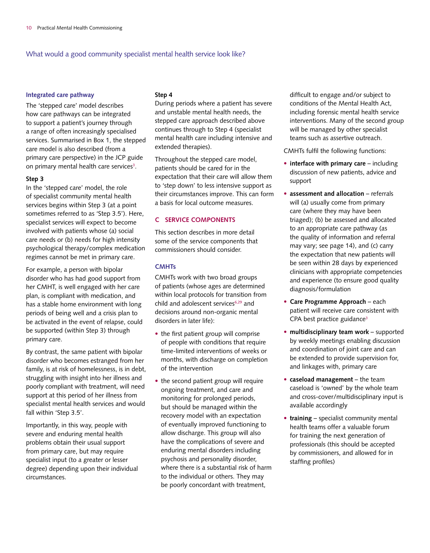#### **Integrated care pathway**

The 'stepped care' model describes how care pathways can be integrated to support a patient's journey through a range of often increasingly specialised services. Summarised in Box 1, the stepped care model is also described (from a primary care perspective) in the JCP guide on primary mental health care services<sup>3</sup>.

#### **Step 3**

In the 'stepped care' model, the role of specialist community mental health services begins within Step 3 (at a point sometimes referred to as 'Step 3.5'). Here, specialist services will expect to become involved with patients whose (a) social care needs or (b) needs for high intensity psychological therapy/complex medication regimes cannot be met in primary care.

For example, a person with bipolar disorder who has had good support from her CMHT, is well engaged with her care plan, is compliant with medication, and has a stable home environment with long periods of being well and a crisis plan to be activated in the event of relapse, could be supported (within Step 3) through primary care.

By contrast, the same patient with bipolar disorder who becomes estranged from her family, is at risk of homelessness, is in debt, struggling with insight into her illness and poorly compliant with treatment, will need support at this period of her illness from specialist mental health services and would fall within 'Step 3.5'.

Importantly, in this way, people with severe and enduring mental health problems obtain their usual support from primary care, but may require specialist input (to a greater or lesser degree) depending upon their individual circumstances.

#### **Step 4**

During periods where a patient has severe and unstable mental health needs, the stepped care approach described above continues through to Step 4 (specialist mental health care including intensive and extended therapies).

Throughout the stepped care model, patients should be cared for in the expectation that their care will allow them to 'step down' to less intensive support as their circumstances improve. This can form a basis for local outcome measures.

#### **C SERVICE COMPONENTS**

This section describes in more detail some of the service components that commissioners should consider.

#### **CMHTs**

CMHTs work with two broad groups of patients (whose ages are determined within local protocols for transition from child and adolescent services<sup>6,29</sup> and decisions around non-organic mental disorders in later life):

- the first patient group will comprise of people with conditions that require time-limited interventions of weeks or months, with discharge on completion of the intervention
- the second patient group will require ongoing treatment, and care and monitoring for prolonged periods, but should be managed within the recovery model with an expectation of eventually improved functioning to allow discharge. This group will also have the complications of severe and enduring mental disorders including psychosis and personality disorder, where there is a substantial risk of harm to the individual or others. They may be poorly concordant with treatment,

difficult to engage and/or subject to conditions of the Mental Health Act, including forensic mental health service interventions. Many of the second group will be managed by other specialist teams such as assertive outreach.

CMHTs fulfil the following functions:

- **interface with primary care** including discussion of new patients, advice and support
- **assessment and allocation** referrals will (a) usually come from primary care (where they may have been triaged); (b) be assessed and allocated to an appropriate care pathway (as the quality of information and referral may vary; see page 14), and (c) carry the expectation that new patients will be seen within 28 days by experienced clinicians with appropriate competencies and experience (to ensure good quality diagnosis/formulation
- **Care Programme Approach** each patient will receive care consistent with CPA best practice guidance<sup>3</sup>
- **multidisciplinary team work** supported by weekly meetings enabling discussion and coordination of joint care and can be extended to provide supervision for, and linkages with, primary care
- **caseload management** the team caseload is 'owned' by the whole team and cross-cover/multidisciplinary input is available accordingly
- **training** specialist community mental health teams offer a valuable forum for training the next generation of professionals (this should be accepted by commissioners, and allowed for in staffing profiles)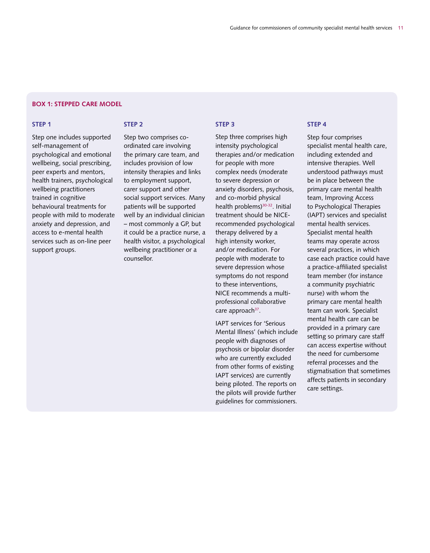#### **box 1: Stepped care model**

#### **Step 1**

Step one includes supported self-management of psychological and emotional wellbeing, social prescribing, peer experts and mentors, health trainers, psychological wellbeing practitioners trained in cognitive behavioural treatments for people with mild to moderate anxiety and depression, and access to e-mental health services such as on-line peer support groups.

#### **Step 2**

Step two comprises coordinated care involving the primary care team, and includes provision of low intensity therapies and links to employment support, carer support and other social support services. Many patients will be supported well by an individual clinician – most commonly a GP, but it could be a practice nurse, a health visitor, a psychological wellbeing practitioner or a counsellor.

intensity psychological therapies and/or medication for people with more complex needs (moderate to severe depression or anxiety disorders, psychosis, and co-morbid physical health problems)30-32. Initial treatment should be NICErecommended psychological therapy delivered by a high intensity worker, and/or medication. For people with moderate to severe depression whose symptoms do not respond to these interventions, NICE recommends a multiprofessional collaborative

care approach<sup>37</sup>.

**Step 3**

Step three comprises high

IAPT services for 'Serious Mental Illness' (which include people with diagnoses of psychosis or bipolar disorder who are currently excluded from other forms of existing IAPT services) are currently being piloted. The reports on the pilots will provide further guidelines for commissioners.

#### **Step 4**

Step four comprises specialist mental health care, including extended and intensive therapies. Well understood pathways must be in place between the primary care mental health team, Improving Access to Psychological Therapies (IAPT) services and specialist mental health services. Specialist mental health teams may operate across several practices, in which case each practice could have a practice-affiliated specialist team member (for instance a community psychiatric nurse) with whom the primary care mental health team can work. Specialist mental health care can be provided in a primary care setting so primary care staff can access expertise without the need for cumbersome referral processes and the stigmatisation that sometimes affects patients in secondary care settings.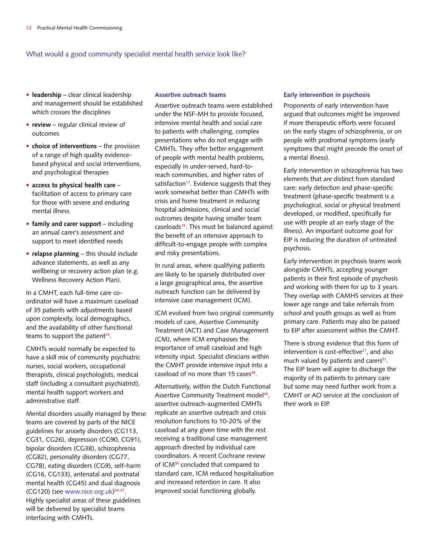- **leadership** clear clinical leadership and management should be established which crosses the disciplines
- **review** regular clinical review of outcomes
- **choice of interventions** the provision of a range of high quality evidencebased physical and social interventions, and psychological therapies
- **access to physical health care** facilitation of access to primary care for those with severe and enduring mental illness
- **family and carer support** including an annual carer's assessment and support to meet identified needs
- **relapse planning** this should include advance statements, as well as any wellbeing or recovery action plan (e.g. Wellness Recovery Action Plan).

In a CMHT, each full-time care coordinator will have a maximum caseload of 35 patients with adjustments based upon complexity, local demographics, and the availability of other functional teams to support the patient $33$ .

CMHTs would normally be expected to have a skill mix of community psychiatric nurses, social workers, occupational therapists, clinical psychologists, medical staff (including a consultant psychiatrist), mental health support workers and administrative staff.

Mental disorders usually managed by these teams are covered by parts of the NICE guidelines for anxiety disorders (CG113, CG31, CG26), depression (CG90, CG91), bipolar disorders (CG38), schizophrenia (CG82), personality disorders (CG77, CG78), eating disorders (CG9), self-harm (CG16, CG133), antenatal and postnatal mental health (CG45) and dual diagnosis  $(CG120)$  (see www.nice.org.uk)<sup>34-47</sup>. Highly specialist areas of these guidelines will be delivered by specialist teams interfacing with CMHTs.

#### **Assertive outreach teams**

Assertive outreach teams were established under the NSF-MH to provide focused, intensive mental health and social care to patients with challenging, complex presentations who do not engage with CMHTs. They offer better engagement of people with mental health problems, especially in under-served, hard-toreach communities, and higher rates of satisfaction<sup>17</sup>. Evidence suggests that they work somewhat better than CMHTs with crisis and home treatment in reducing hospital admissions, clinical and social outcomes despite having smaller team caseloads<sup>18</sup>. This must be balanced against the benefit of an intensive approach to difficult-to-engage people with complex and risky presentations.

In rural areas, where qualifying patients are likely to be sparsely distributed over a large geographical area, the assertive outreach function can be delivered by intensive case management (ICM).

ICM evolved from two original community models of care, Assertive Community Treatment (ACT) and Case Management (CM), where ICM emphasises the importance of small caseload and high intensity input. Specialist clinicians within the CMHT provide intensive input into a caseload of no more than 15 cases<sup>48</sup>.

Alternatively, within the Dutch Functional Assertive Community Treatment model<sup>49</sup>, assertive outreach-augmented CMHTs replicate an assertive outreach and crisis resolution functions to 10-20% of the caseload at any given time with the rest receiving a traditional case management approach directed by individual care coordinators. A recent Cochrane review of ICM<sup>50</sup> concluded that compared to standard care, ICM reduced hospitalisation and increased retention in care. It also improved social functioning globally.

#### **Early intervention in psychosis**

Proponents of early intervention have argued that outcomes might be improved if more therapeutic efforts were focused on the early stages of schizophrenia, or on people with prodromal symptoms (early symptoms that might precede the onset of a mental illness).

Early intervention in schizophrenia has two elements that are distinct from standard care: early detection and phase-specific treatment (phase-specific treatment is a psychological, social or physical treatment developed, or modified, specifically for use with people at an early stage of the illness). An important outcome goal for EIP is reducing the duration of untreated psychosis.

Early intervention in psychosis teams work alongside CMHTs, accepting younger patients in their first episode of psychosis and working with them for up to 3 years. They overlap with CAMHS services at their lower age range and take referrals from school and youth groups as well as from primary care. Patients may also be passed to EIP after assessment within the CMHT.

There is strong evidence that this form of intervention is cost-effective $21$ , and also much valued by patients and carers<sup>51</sup>. The EIP team will aspire to discharge the majority of its patients to primary care but some may need further work from a CMHT or AO service at the conclusion of their work in EIP.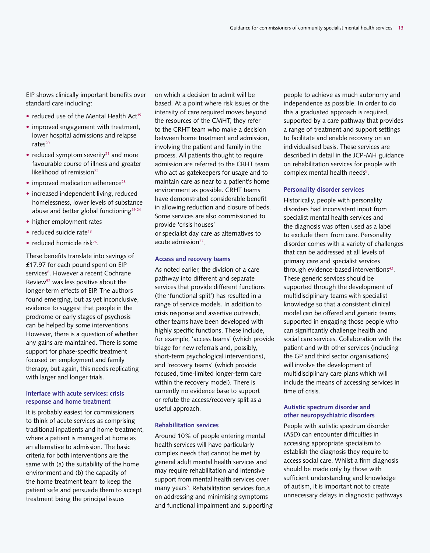EIP shows clinically important benefits over standard care including:

- reduced use of the Mental Health  $Act^{19}$
- improved engagement with treatment, lower hospital admissions and relapse  $rate<sup>20</sup>$
- reduced symptom severity<sup>21</sup> and more favourable course of illness and greater likelihood of remission<sup>22</sup>
- $\bullet$  improved medication adherence<sup>23</sup>
- increased independent living, reduced homelessness, lower levels of substance abuse and better global functioning<sup>19,24</sup>
- higher employment rates
- reduced suicide rate<sup>13</sup>
- reduced homicide risk<sup>26</sup>.

These benefits translate into savings of £17.97 for each pound spent on EIP services<sup>8</sup>. However a recent Cochrane Review<sup>52</sup> was less positive about the longer-term effects of EIP. The authors found emerging, but as yet inconclusive, evidence to suggest that people in the prodrome or early stages of psychosis can be helped by some interventions. However, there is a question of whether any gains are maintained. There is some support for phase-specific treatment focused on employment and family therapy, but again, this needs replicating with larger and longer trials.

#### **Interface with acute services: crisis response and home treatment**

It is probably easiest for commissioners to think of acute services as comprising traditional inpatients and home treatment, where a patient is managed at home as an alternative to admission. The basic criteria for both interventions are the same with (a) the suitability of the home environment and (b) the capacity of the home treatment team to keep the patient safe and persuade them to accept treatment being the principal issues

on which a decision to admit will be based. At a point where risk issues or the intensity of care required moves beyond the resources of the CMHT, they refer to the CRHT team who make a decision between home treatment and admission, involving the patient and family in the process. All patients thought to require admission are referred to the CRHT team who act as gatekeepers for usage and to maintain care as near to a patient's home environment as possible. CRHT teams have demonstrated considerable benefit in allowing reduction and closure of beds. Some services are also commissioned to provide 'crisis houses'

or specialist day care as alternatives to acute admission<sup>27</sup>.

#### **Access and recovery teams**

As noted earlier, the division of a care pathway into different and separate services that provide different functions (the 'functional split') has resulted in a range of service models. In addition to crisis response and assertive outreach, other teams have been developed with highly specific functions. These include, for example, 'access teams' (which provide triage for new referrals and, possibly, short-term psychological interventions), and 'recovery teams' (which provide focused, time-limited longer-term care within the recovery model). There is currently no evidence base to support or refute the access/recovery split as a useful approach.

#### **Rehabilitation services**

Around 10% of people entering mental health services will have particularly complex needs that cannot be met by general adult mental health services and may require rehabilitation and intensive support from mental health services over many years<sup>9</sup>. Rehabilitation services focus on addressing and minimising symptoms and functional impairment and supporting

people to achieve as much autonomy and independence as possible. In order to do this a graduated approach is required, supported by a care pathway that provides a range of treatment and support settings to facilitate and enable recovery on an individualised basis. These services are described in detail in the JCP-MH guidance on rehabilitation services for people with complex mental health needs<sup>9</sup>.

#### **Personality disorder services**

Historically, people with personality disorders had inconsistent input from specialist mental health services and the diagnosis was often used as a label to exclude them from care. Personality disorder comes with a variety of challenges that can be addressed at all levels of primary care and specialist services through evidence-based interventions<sup>42</sup>. These generic services should be supported through the development of multidisciplinary teams with specialist knowledge so that a consistent clinical model can be offered and generic teams supported in engaging those people who can significantly challenge health and social care services. Collaboration with the patient and with other services (including the GP and third sector organisations) will involve the development of multidisciplinary care plans which will include the means of accessing services in time of crisis.

#### **Autistic spectrum disorder and other neuropsychiatric disorders**

People with autistic spectrum disorder (ASD) can encounter difficulties in accessing appropriate specialism to establish the diagnosis they require to access social care. Whilst a firm diagnosis should be made only by those with sufficient understanding and knowledge of autism, it is important not to create unnecessary delays in diagnostic pathways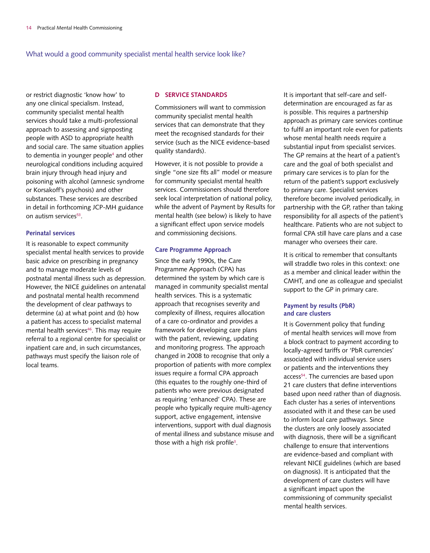or restrict diagnostic 'know how' to any one clinical specialism. Instead, community specialist mental health services should take a multi-professional approach to assessing and signposting people with ASD to appropriate health and social care. The same situation applies to dementia in younger people4 and other neurological conditions including acquired brain injury through head injury and poisoning with alcohol (amnesic syndrome or Korsakoff's psychosis) and other substances. These services are described in detail in forthcoming JCP-MH guidance on autism services<sup>53</sup>.

#### **Perinatal services**

It is reasonable to expect community specialist mental health services to provide basic advice on prescribing in pregnancy and to manage moderate levels of postnatal mental illness such as depression. However, the NICE guidelines on antenatal and postnatal mental health recommend the development of clear pathways to determine (a) at what point and (b) how a patient has access to specialist maternal mental health services<sup>46</sup>. This may require referral to a regional centre for specialist or inpatient care and, in such circumstances, pathways must specify the liaison role of local teams.

#### **D SERVICE STANDARDS**

Commissioners will want to commission community specialist mental health services that can demonstrate that they meet the recognised standards for their service (such as the NICE evidence-based quality standards).

However, it is not possible to provide a single "one size fits all" model or measure for community specialist mental health services. Commissioners should therefore seek local interpretation of national policy, while the advent of Payment by Results for mental health (see below) is likely to have a significant effect upon service models and commissioning decisions.

#### **Care Programme Approach**

Since the early 1990s, the Care Programme Approach (CPA) has determined the system by which care is managed in community specialist mental health services. This is a systematic approach that recognises severity and complexity of illness, requires allocation of a care co-ordinator and provides a framework for developing care plans with the patient, reviewing, updating and monitoring progress. The approach changed in 2008 to recognise that only a proportion of patients with more complex issues require a formal CPA approach (this equates to the roughly one-third of patients who were previous designated as requiring 'enhanced' CPA). These are people who typically require multi-agency support, active engagement, intensive interventions, support with dual diagnosis of mental illness and substance misuse and those with a high risk profile<sup>3</sup>.

It is important that self-care and selfdetermination are encouraged as far as is possible. This requires a partnership approach as primary care services continue to fulfil an important role even for patients whose mental health needs require a substantial input from specialist services. The GP remains at the heart of a patient's care and the goal of both specialist and primary care services is to plan for the return of the patient's support exclusively to primary care. Specialist services therefore become involved periodically, in partnership with the GP, rather than taking responsibility for all aspects of the patient's healthcare. Patients who are not subject to formal CPA still have care plans and a case manager who oversees their care.

It is critical to remember that consultants will straddle two roles in this context: one as a member and clinical leader within the CMHT, and one as colleague and specialist support to the GP in primary care.

#### **Payment by results (PbR) and care clusters**

It is Government policy that funding of mental health services will move from a block contract to payment according to locally-agreed tariffs or 'PbR currencies' associated with individual service users or patients and the interventions they access<sup>54</sup>. The currencies are based upon 21 care clusters that define interventions based upon need rather than of diagnosis. Each cluster has a series of interventions associated with it and these can be used to inform local care pathways. Since the clusters are only loosely associated with diagnosis, there will be a significant challenge to ensure that interventions are evidence-based and compliant with relevant NICE guidelines (which are based on diagnosis). It is anticipated that the development of care clusters will have a significant impact upon the commissioning of community specialist mental health services.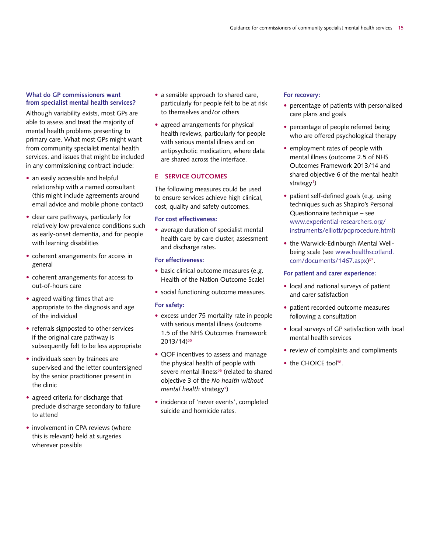#### **What do GP commissioners want from specialist mental health services?**

Although variability exists, most GPs are able to assess and treat the majority of mental health problems presenting to primary care. What most GPs might want from community specialist mental health services, and issues that might be included in any commissioning contract include:

- an easily accessible and helpful relationship with a named consultant (this might include agreements around email advice and mobile phone contact)
- clear care pathways, particularly for relatively low prevalence conditions such as early-onset dementia, and for people with learning disabilities
- coherent arrangements for access in general
- coherent arrangements for access to out-of-hours care
- agreed waiting times that are appropriate to the diagnosis and age of the individual
- referrals signposted to other services if the original care pathway is subsequently felt to be less appropriate
- individuals seen by trainees are supervised and the letter countersigned by the senior practitioner present in the clinic
- agreed criteria for discharge that preclude discharge secondary to failure to attend
- involvement in CPA reviews (where this is relevant) held at surgeries wherever possible
- a sensible approach to shared care, particularly for people felt to be at risk to themselves and/or others
- agreed arrangements for physical health reviews, particularly for people with serious mental illness and on antipsychotic medication, where data are shared across the interface.

#### **E SERVICE OUTCOMES**

The following measures could be used to ensure services achieve high clinical, cost, quality and safety outcomes.

#### **For cost effectiveness:**

• average duration of specialist mental health care by care cluster, assessment and discharge rates.

#### **For effectiveness:**

- basic clinical outcome measures (e.g. Health of the Nation Outcome Scale)
- social functioning outcome measures.

#### **For safety:**

- excess under 75 mortality rate in people with serious mental illness (outcome 1.5 of the NHS Outcomes Framework 2013/14)55
- QOF incentives to assess and manage the physical health of people with severe mental illness<sup>56</sup> (related to shared objective 3 of the *No health without*  mental health strategy<sup>1</sup>)
- incidence of 'never events', completed suicide and homicide rates.

#### **For recovery:**

- percentage of patients with personalised care plans and goals
- percentage of people referred being who are offered psychological therapy
- employment rates of people with mental illness (outcome 2.5 of NHS Outcomes Framework 2013/14 and shared objective 6 of the mental health strategy<sup>1</sup>)
- patient self-defined goals (e.g. using techniques such as Shapiro's Personal Questionnaire technique – see www.experiential-researchers.org/ instruments/elliott/pqprocedure.html)
- the Warwick-Edinburgh Mental Wellbeing scale (see www.healthscotland. com/documents/1467.aspx)<sup>57</sup>.

#### **For patient and carer experience:**

- local and national surveys of patient and carer satisfaction
- patient recorded outcome measures following a consultation
- local surveys of GP satisfaction with local mental health services
- review of complaints and compliments
- the CHOICE tool<sup>58</sup>.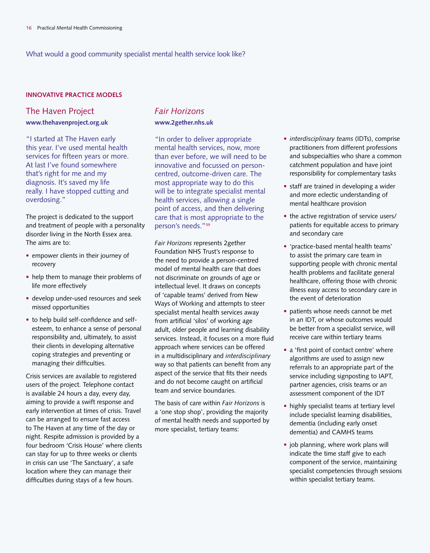#### **INNOVATIVE PRACTICE MODELS**

#### The Haven Project

**www.thehavenproject.org.uk**

"I started at The Haven early this year. I've used mental health services for fifteen years or more. At last I've found somewhere that's right for me and my diagnosis. It's saved my life really. I have stopped cutting and overdosing."

The project is dedicated to the support and treatment of people with a personality disorder living in the North Essex area. The aims are to:

- empower clients in their journey of recovery
- help them to manage their problems of life more effectively
- develop under-used resources and seek missed opportunities
- to help build self-confidence and selfesteem, to enhance a sense of personal responsibility and, ultimately, to assist their clients in developing alternative coping strategies and preventing or managing their difficulties.

Crisis services are available to registered users of the project. Telephone contact is available 24 hours a day, every day, aiming to provide a swift response and early intervention at times of crisis. Travel can be arranged to ensure fast access to The Haven at any time of the day or night. Respite admission is provided by a four bedroom 'Crisis House' where clients can stay for up to three weeks or clients in crisis can use 'The Sanctuary', a safe location where they can manage their difficulties during stays of a few hours.

### *Fair Horizons* **www.2gether.nhs.uk**

"In order to deliver appropriate mental health services, now, more than ever before, we will need to be innovative and focussed on personcentred, outcome-driven care. The most appropriate way to do this will be to integrate specialist mental health services, allowing a single point of access, and then delivering care that is most appropriate to the person's needs."59

*Fair Horizons* represents 2gether Foundation NHS Trust's response to the need to provide a person-centred model of mental health care that does not discriminate on grounds of age or intellectual level. It draws on concepts of 'capable teams' derived from New Ways of Working and attempts to steer specialist mental health services away from artificial 'silos' of working age adult, older people and learning disability services. Instead, it focuses on a more fluid approach where services can be offered in a multidisciplinary and *interdisciplinary* way so that patients can benefit from any aspect of the service that fits their needs and do not become caught on artificial team and service boundaries.

The basis of care within *Fair Horizons* is a 'one stop shop', providing the majority of mental health needs and supported by more specialist, tertiary teams:

- *interdisciplinary teams* (IDTs), comprise practitioners from different professions and subspecialties who share a common catchment population and have joint responsibility for complementary tasks
- staff are trained in developing a wider and more eclectic understanding of mental healthcare provision
- the active registration of service users/ patients for equitable access to primary and secondary care
- 'practice-based mental health teams' to assist the primary care team in supporting people with chronic mental health problems and facilitate general healthcare, offering those with chronic illness easy access to secondary care in the event of deterioration
- patients whose needs cannot be met in an IDT, or whose outcomes would be better from a specialist service, will receive care within tertiary teams
- a 'first point of contact centre' where algorithms are used to assign new referrals to an appropriate part of the service including signposting to IAPT, partner agencies, crisis teams or an assessment component of the IDT
- highly specialist teams at tertiary level include specialist learning disabilities, dementia (including early onset dementia) and CAMHS teams
- job planning, where work plans will indicate the time staff give to each component of the service, maintaining specialist competencies through sessions within specialist tertiary teams.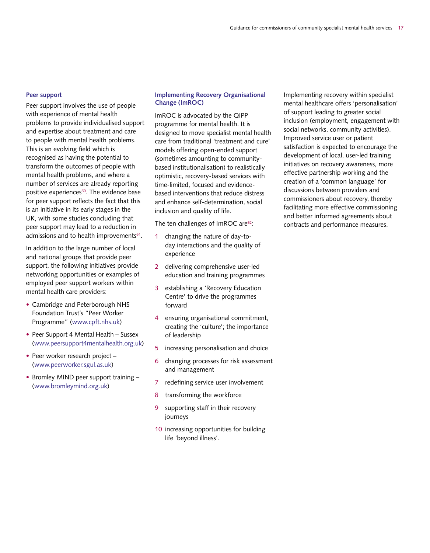#### **Peer support**

Peer support involves the use of people with experience of mental health problems to provide individualised support and expertise about treatment and care to people with mental health problems. This is an evolving field which is recognised as having the potential to transform the outcomes of people with mental health problems, and where a number of services are already reporting positive experiences<sup>60</sup>. The evidence base for peer support reflects the fact that this is an initiative in its early stages in the UK, with some studies concluding that peer support may lead to a reduction in admissions and to health improvements<sup>61</sup>.

In addition to the large number of local and national groups that provide peer support, the following initiatives provide networking opportunities or examples of employed peer support workers within mental health care providers:

- Cambridge and Peterborough NHS Foundation Trust's "Peer Worker Programme" (www.cpft.nhs.uk)
- Peer Support 4 Mental Health Sussex (www.peersupport4mentalhealth.org.uk)
- Peer worker research project (www.peerworker.sgul.as.uk)
- Bromley MIND peer support training -(www.bromleymind.org.uk)

#### **Implementing Recovery Organisational Change (ImROC)**

ImROC is advocated by the QIPP programme for mental health. It is designed to move specialist mental health care from traditional 'treatment and cure' models offering open-ended support (sometimes amounting to communitybased institutionalisation) to realistically optimistic, recovery-based services with time-limited, focused and evidencebased interventions that reduce distress and enhance self-determination, social inclusion and quality of life.

The ten challenges of ImROC are<sup>62</sup>:

- 1 changing the nature of day-today interactions and the quality of experience
- 2 delivering comprehensive user-led education and training programmes
- 3 establishing a 'Recovery Education Centre' to drive the programmes forward
- 4 ensuring organisational commitment, creating the 'culture'; the importance of leadership
- 5 increasing personalisation and choice
- 6 changing processes for risk assessment and management
- 7 redefining service user involvement
- 8 transforming the workforce
- 9 supporting staff in their recovery journeys
- 10 increasing opportunities for building life 'beyond illness'.

Implementing recovery within specialist mental healthcare offers 'personalisation' of support leading to greater social inclusion (employment, engagement with social networks, community activities). Improved service user or patient satisfaction is expected to encourage the development of local, user-led training initiatives on recovery awareness, more effective partnership working and the creation of a 'common language' for discussions between providers and commissioners about recovery, thereby facilitating more effective commissioning and better informed agreements about contracts and performance measures.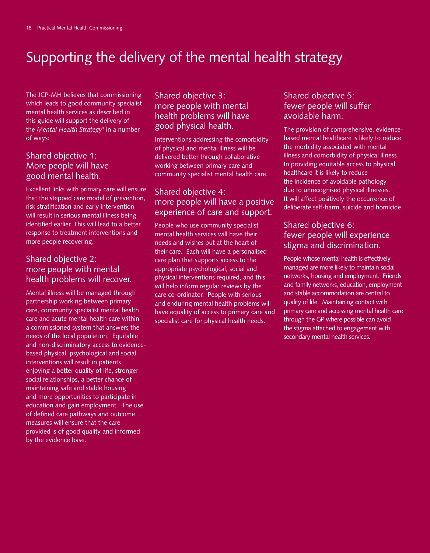# Supporting the delivery of the mental health strategy

The JCP-MH believes that commissioning which leads to good community specialist mental health services as described in this guide will support the delivery of the *Mental Health Strategy*<sup>1</sup> in a number of ways:

### Shared objective 1: More people will have good mental health.

Excellent links with primary care will ensure that the stepped care model of prevention, risk stratification and early intervention will result in serious mental illness being identified earlier. This will lead to a better response to treatment interventions and more people recovering.

### Shared objective 2: more people with mental health problems will recover.

Mental illness will be managed through partnership working between primary care, community specialist mental health care and acute mental health care within a commissioned system that answers the needs of the local population. Equitable and non-discriminatory access to evidencebased physical, psychological and social interventions will result in patients enjoying a better quality of life, stronger social relationships, a better chance of maintaining safe and stable housing and more opportunities to participate in education and gain employment. The use of defined care pathways and outcome measures will ensure that the care provided is of good quality and informed by the evidence base.

### Shared objective 3: more people with mental health problems will have good physical health.

Interventions addressing the comorbidity of physical and mental illness will be delivered better through collaborative working between primary care and community specialist mental health care.

### Shared objective 4: more people will have a positive experience of care and support.

People who use community specialist mental health services will have their needs and wishes put at the heart of their care. Each will have a personalised care plan that supports access to the appropriate psychological, social and physical interventions required, and this will help inform regular reviews by the care co-ordinator. People with serious and enduring mental health problems will have equality of access to primary care and specialist care for physical health needs.

### Shared objective 5: fewer people will suffer avoidable harm.

The provision of comprehensive, evidencebased mental healthcare is likely to reduce the morbidity associated with mental illness and comorbidity of physical illness. In providing equitable access to physical healthcare it is likely to reduce the incidence of avoidable pathology due to unrecognised physical illnesses. It will affect positively the occurrence of deliberate self-harm, suicide and homicide.

### Shared objective 6: fewer people will experience stigma and discrimination.

People whose mental health is effectively managed are more likely to maintain social networks, housing and employment. Friends and family networks, education, employment and stable accommodation are central to quality of life. Maintaining contact with primary care and accessing mental health care through the GP where possible can avoid the stigma attached to engagement with secondary mental health services.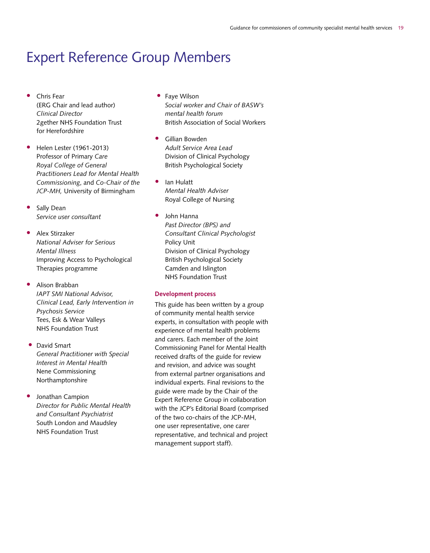### Expert Reference Group Members

- Chris Fear (ERG Chair and lead author) *Clinical Director* 2gether NHS Foundation Trust for Herefordshire
- Helen Lester (1961-2013) Professor of Primary *Care Royal College of General Practitioners Lead for Mental Health Commissioning*, and *Co-Chair of the JCP-MH,* University of Birmingham
- Sally Dean *Service user consultant*
- Alex Stirzaker *National Adviser for Serious Mental Illness* Improving Access to Psychological Therapies programme
- Alison Brabban *IAPT SMI National Advisor, Clinical Lead, Early Intervention in Psychosis Service* Tees, Esk & Wear Valleys NHS Foundation Trust
- David Smart *General Practitioner with Special Interest in Mental Health* Nene Commissioning Northamptonshire
- Jonathan Campion *Director for Public Mental Health and Consultant Psychiatrist* South London and Maudsley NHS Foundation Trust
- Faye Wilson *Social worker and Chair of BASW's mental health forum* British Association of Social Workers
- Gillian Bowden *Adult Service Area Lead* Division of Clinical Psychology British Psychological Society
- Ian Hulatt *Mental Health Adviser* Royal College of Nursing
- John Hanna *Past Director (BPS) and Consultant Clinical Psychologist* Policy Unit Division of Clinical Psychology British Psychological Society Camden and Islington NHS Foundation Trust

#### **Development process**

This guide has been written by a group of community mental health service experts, in consultation with people with experience of mental health problems and carers. Each member of the Joint Commissioning Panel for Mental Health received drafts of the guide for review and revision, and advice was sought from external partner organisations and individual experts. Final revisions to the guide were made by the Chair of the Expert Reference Group in collaboration with the JCP's Editorial Board (comprised of the two co-chairs of the JCP-MH, one user representative, one carer representative, and technical and project management support staff).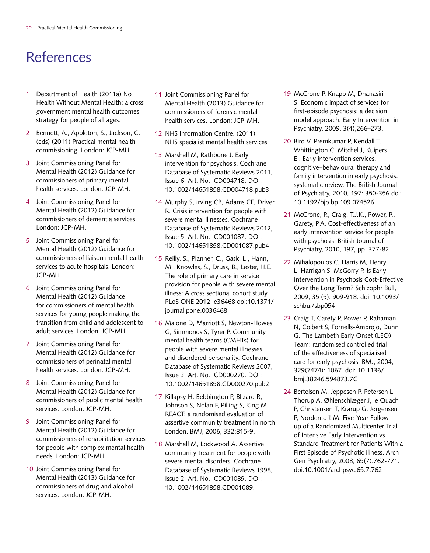# References

- 1 Department of Health (2011a) No Health Without Mental Health; a cross government mental health outcomes strategy for people of all ages.
- 2 Bennett, A., Appleton, S., Jackson, C. (eds) (2011) Practical mental health commissioning. London: JCP-MH.
- 3 Joint Commissioning Panel for Mental Health (2012) Guidance for commissioners of primary mental health services. London: JCP-MH.
- 4 Joint Commissioning Panel for Mental Health (2012) Guidance for commissioners of dementia services. London: JCP-MH.
- 5 Joint Commissioning Panel for Mental Health (2012) Guidance for commissioners of liaison mental health services to acute hospitals. London: JCP-MH.
- 6 Joint Commissioning Panel for Mental Health (2012) Guidance for commissioners of mental health services for young people making the transition from child and adolescent to adult services. London: JCP-MH.
- 7 Joint Commissioning Panel for Mental Health (2012) Guidance for commissioners of perinatal mental health services. London: JCP-MH.
- 8 Joint Commissioning Panel for Mental Health (2012) Guidance for commissioners of public mental health services. London: JCP-MH.
- 9 Joint Commissioning Panel for Mental Health (2012) Guidance for commissioners of rehabilitation services for people with complex mental health needs. London: JCP-MH.
- 10 Joint Commissioning Panel for Mental Health (2013) Guidance for commissioners of drug and alcohol services. London: JCP-MH.
- 11 Joint Commissioning Panel for Mental Health (2013) Guidance for commissioners of forensic mental health services. London: JCP-MH.
- 12 NHS Information Centre. (2011). NHS specialist mental health services
- 13 Marshall M, Rathbone J. Early intervention for psychosis. Cochrane Database of Systematic Reviews 2011, Issue 6. Art. No.: CD004718. DOI: 10.1002/14651858.CD004718.pub3
- 14 Murphy S, Irving CB, Adams CE, Driver R. Crisis intervention for people with severe mental illnesses. Cochrane Database of Systematic Reviews 2012, Issue 5. Art. No.: CD001087. DOI: 10.1002/14651858.CD001087.pub4
- 15 Reilly, S., Planner, C., Gask, L., Hann, M., Knowles, S., Druss, B., Lester, H.E. The role of primary care in service provision for people with severe mental illness: A cross sectional cohort study. PLoS ONE 2012, e36468 doi:10.1371/ journal.pone.0036468
- 16 Malone D, Marriott S, Newton-Howes G, Simmonds S, Tyrer P. Community mental health teams (CMHTs) for people with severe mental illnesses and disordered personality. Cochrane Database of Systematic Reviews 2007, Issue 3. Art. No.: CD000270. DOI: 10.1002/14651858.CD000270.pub2
- 17 Killapsy H, Bebbington P, Blizard R, Johnson S, Nolan F, Pilling S, King M. REACT: a randomised evaluation of assertive community treatment in north London. BMJ, 2006, 332:815-9.
- 18 Marshall M, Lockwood A. Assertive community treatment for people with severe mental disorders. Cochrane Database of Systematic Reviews 1998, Issue 2. Art. No.: CD001089. DOI: 10.1002/14651858.CD001089.
- 19 McCrone P, Knapp M, Dhanasiri S. Economic impact of services for first-episode psychosis: a decision model approach. Early Intervention in Psychiatry, 2009, 3(4),266–273.
- 20 Bird V, Premkumar P, Kendall T, Whittington C, Mitchel J, Kuipers E.. Early intervention services, cognitive–behavioural therapy and family intervention in early psychosis: systematic review. The British Journal of Psychiatry, 2010, 197: 350-356 doi: 10.1192/bjp.bp.109.074526
- 21 McCrone, P., Craig, T.J.K., Power, P., Garety, P.A. Cost-effectiveness of an early intervention service for people with psychosis. British Journal of Psychiatry, 2010, 197, pp. 377-82.
- 22 Mihalopoulos C, Harris M, Henry L, Harrigan S, McGorry P. Is Early Intervention in Psychosis Cost-Effective Over the Long Term? Schizophr Bull, 2009, 35 (5): 909-918. doi: 10.1093/ schbul/sbp054
- 23 Craig T, Garety P, Power P, Rahaman N, Colbert S, Fornells-Ambrojo, Dunn G. The Lambeth Early Onset (LEO) Team: randomised controlled trial of the effectiveness of specialised care for early psychosis. BMJ, 2004, 329(7474): 1067. doi: 10.1136/ bmj.38246.594873.7C
- 24 Bertelsen M, Jeppesen P, Petersen L, Thorup A, Øhlenschlæger J, le Quach P, Christensen T, Krarup G, Jørgensen P, Nordentoft M. Five-Year Followup of a Randomized Multicenter Trial of Intensive Early Intervention vs Standard Treatment for Patients With a First Episode of Psychotic Illness. Arch Gen Psychiatry, 2008, 65(7):762-771. doi:10.1001/archpsyc.65.7.762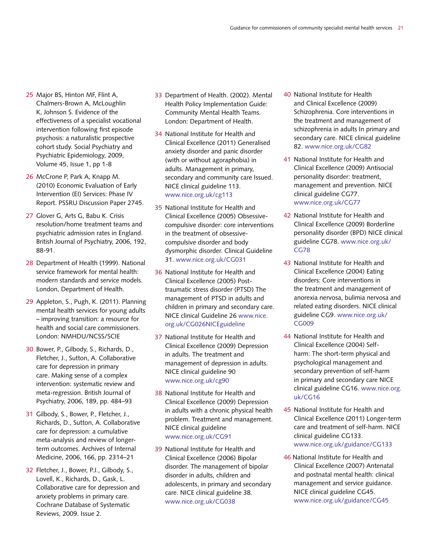- 25 Major BS, Hinton MF, Flint A, Chalmers-Brown A, McLoughlin K, Johnson S. Evidence of the effectiveness of a specialist vocational intervention following first episode psychosis: a naturalistic prospective cohort study. Social Psychiatry and Psychiatric Epidemiology, 2009, Volume 45, Issue 1, pp 1-8
- 26 McCrone P, Park A, Knapp M. (2010) Economic Evaluation of Early Intervention (EI) Services: Phase IV Report. PSSRU Discussion Paper 2745.
- 27 Glover G, Arts G, Babu K. Crisis resolution/home treatment teams and psychiatric admission rates in England. British Journal of Psychiatry, 2006, 192, 88-91.
- 28 Department of Health (1999). National service framework for mental health: modern standards and service models. London, Department of Health.
- 29 Appleton, S., Pugh, K. (2011). Planning mental health services for young adults – improving transition: a resource for health and social care commissioners. London: NMHDU/NCSS/SCIE
- 30 Bower, P., Gilbody, S., Richards, D., Fletcher, J., Sutton, A. Collaborative care for depression in primary care. Making sense of a complex intervention: systematic review and meta-regression. British Journal of Psychiatry, 2006, 189, pp. 484–93
- 31 Gilbody, S., Bower, P., Fletcher, J., Richards, D., Sutton, A. Collaborative care for depression: a cumulative meta-analysis and review of longerterm outcomes. Archives of Internal Medicine, 2006, 166, pp. 2314–21
- 32 Fletcher, J., Bower, P.J., Gilbody, S., Lovell, K., Richards, D., Gask, L. Collaborative care for depression and anxiety problems in primary care. Cochrane Database of Systematic Reviews, 2009. Issue 2.
- 33 Department of Health. (2002). Mental Health Policy Implementation Guide: Community Mental Health Teams. London: Department of Health.
- 34 National Institute for Health and Clinical Excellence (2011) Generalised anxiety disorder and panic disorder (with or without agoraphobia) in adults. Management in primary, secondary and community care Issued. NICE clinical guideline 113. www.nice.org.uk/cg113
- 35 National Institute for Health and Clinical Excellence (2005) Obsessivecompulsive disorder: core interventions in the treatment of obsessivecompulsive disorder and body dysmorphic disorder. Clinical Guideline 31. www.nice.org.uk/CG031
- 36 National Institute for Health and Clinical Excellence (2005) Posttraumatic stress disorder (PTSD) The management of PTSD in adults and children in primary and secondary care. NICE clinical Guideline 26 www.nice. org.uk/CG026NICEguideline
- 37 National Institute for Health and Clinical Excellence (2009) Depression in adults. The treatment and management of depression in adults. NICE clinical guideline 90 www.nice.org.uk/cg90
- 38 National Institute for Health and Clinical Excellence (2009) Depression in adults with a chronic physical health problem. Treatment and management. NICE clinical guideline www.nice.org.uk/CG91
- 39 National Institute for Health and Clinical Excellence (2006) Bipolar disorder. The management of bipolar disorder in adults, children and adolescents, in primary and secondary care. NICE clinical guideline 38. www.nice.org.uk/CG038
- 40 National Institute for Health and Clinical Excellence (2009) Schizophrenia. Core interventions in the treatment and management of schizophrenia in adults In primary and secondary care. NICE clinical guideline 82. www.nice.org.uk/CG82
- 41 National Institute for Health and Clinical Excellence (2009) Antisocial personality disorder: treatment, management and prevention. NICE clinical guideline CG77. www.nice.org.uk/CG77
- 42 National Institute for Health and Clinical Excellence (2009) Borderline personality disorder (BPD) NICE clinical guideline CG78. www.nice.org.uk/ CG78
- 43 National Institute for Health and Clinical Excellence (2004) Eating disorders: Core interventions in the treatment and management of anorexia nervosa, bulimia nervosa and related eating disorders. NICE clinical guideline CG9. www.nice.org.uk/ CG009
- 44 National Institute for Health and Clinical Excellence (2004) Selfharm: The short-term physical and psychological management and secondary prevention of self-harm in primary and secondary care NICE clinical guideline CG16. www.nice.org. uk/CG16
- 45 National Institute for Health and Clinical Excellence (2011) Longer-term care and treatment of self-harm. NICE clinical guideline CG133. www.nice.org.uk/guidance/CG133
- 46 National Institute for Health and Clinical Excellence (2007) Antenatal and postnatal mental health: clinical management and service guidance. NICE clinical guideline CG45. www.nice.org.uk/guidance/CG45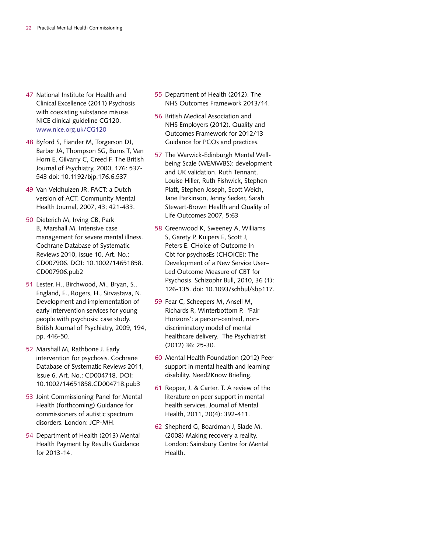- 47 National Institute for Health and Clinical Excellence (2011) Psychosis with coexisting substance misuse. NICE clinical guideline CG120. www.nice.org.uk/CG120
- 48 Byford S, Fiander M, Torgerson DJ, Barber JA, Thompson SG, Burns T, Van Horn E, Gilvarry C, Creed F. The British Journal of Psychiatry, 2000, 176: 537- 543 doi: 10.1192/bjp.176.6.537
- 49 Van Veldhuizen JR. FACT: a Dutch version of ACT. Community Mental Health Journal, 2007, 43; 421-433.
- 50 Dieterich M, Irving CB, Park B, Marshall M. Intensive case management for severe mental illness. Cochrane Database of Systematic Reviews 2010, Issue 10. Art. No.: CD007906. DOI: 10.1002/14651858. CD007906.pub2
- 51 Lester, H., Birchwood, M., Bryan, S., England, E., Rogers, H., Sirvastava, N. Development and implementation of early intervention services for young people with psychosis: case study. British Journal of Psychiatry, 2009, 194, pp. 446-50.
- 52 Marshall M, Rathbone J. Early intervention for psychosis. Cochrane Database of Systematic Reviews 2011, Issue 6. Art. No.: CD004718. DOI: 10.1002/14651858.CD004718.pub3
- 53 Joint Commissioning Panel for Mental Health (forthcoming) Guidance for commissioners of autistic spectrum disorders. London: JCP-MH.
- 54 Department of Health (2013) Mental Health Payment by Results Guidance for 2013-14.
- 55 Department of Health (2012). The NHS Outcomes Framework 2013/14.
- 56 British Medical Association and NHS Employers (2012). Quality and Outcomes Framework for 2012/13 Guidance for PCOs and practices.
- 57 The Warwick-Edinburgh Mental Wellbeing Scale (WEMWBS): development and UK validation. Ruth Tennant, Louise Hiller, Ruth Fishwick, Stephen Platt, Stephen Joseph, Scott Weich, Jane Parkinson, Jenny Secker, Sarah Stewart-Brown Health and Quality of Life Outcomes 2007, 5:63
- 58 Greenwood K, Sweeney A, Williams S, Garety P, Kuipers E, Scott J, Peters E. CHoice of Outcome In Cbt for psychosEs (CHOICE): The Development of a New Service User– Led Outcome Measure of CBT for Psychosis. Schizophr Bull, 2010, 36 (1): 126-135. doi: 10.1093/schbul/sbp117.
- 59 Fear C, Scheepers M, Ansell M, Richards R, Winterbottom P. 'Fair Horizons': a person-centred, nondiscriminatory model of mental healthcare delivery. The Psychiatrist (2012) 36: 25-30.
- 60 Mental Health Foundation (2012) Peer support in mental health and learning disability. Need2Know Briefing.
- 61 Repper, J. & Carter, T. A review of the literature on peer support in mental health services. Journal of Mental Health, 2011, 20(4): 392-411.
- 62 Shepherd G, Boardman J, Slade M. (2008) Making recovery a reality. London: Sainsbury Centre for Mental Health.